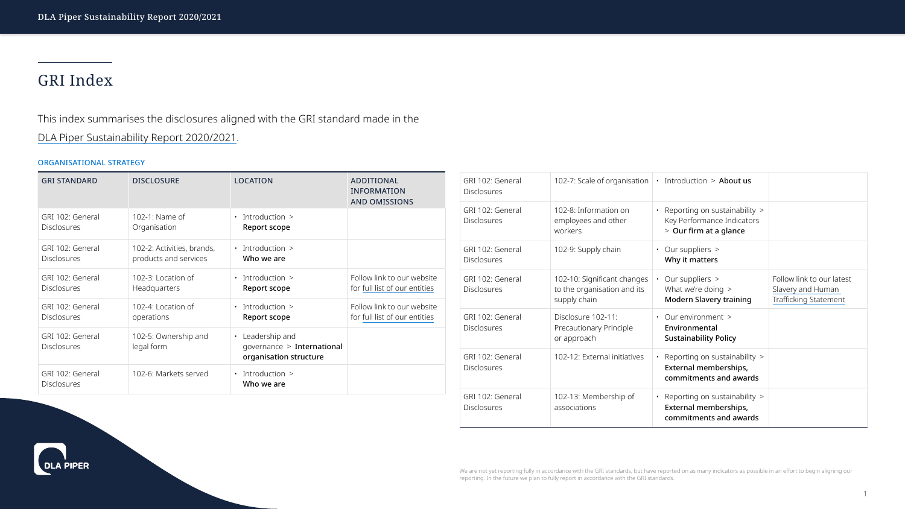# GRI Index

This index summarises the disclosures aligned with the GRI standard made in the [DLA Piper Sustainability Report 2020/2021](http://www.dlapiper.com/focus/sustainability-report-2021/introduction/).

### ORGANISATIONAL STRATEGY

| <b>GRI STANDARD</b>                    | <b>DISCLOSURE</b>                                                                      | <b>LOCATION</b>                            | ADDITIONAL<br><b>INFORMATION</b><br><b>AND OMISSIONS</b>    | GRI 102: General<br><b>Disclosures</b> | 102-7: Scale of organisation                                               | $\cdot$ Introduction > About us                                                             |                                                                              |
|----------------------------------------|----------------------------------------------------------------------------------------|--------------------------------------------|-------------------------------------------------------------|----------------------------------------|----------------------------------------------------------------------------|---------------------------------------------------------------------------------------------|------------------------------------------------------------------------------|
| GRI 102: General<br><b>Disclosures</b> | 102-1: Name of<br>Organisation                                                         | $\cdot$ Introduction $\ge$<br>Report scope |                                                             | GRI 102: General<br><b>Disclosures</b> | 102-8: Information on<br>employees and other<br>workers                    | • Reporting on sustainability $>$<br>Key Performance Indicators<br>$>$ Our firm at a glance |                                                                              |
| GRI 102: General<br><b>Disclosures</b> | 102-2: Activities, brands,<br>products and services                                    | $\cdot$ Introduction $\ge$<br>Who we are   |                                                             | GRI 102: General<br><b>Disclosures</b> | 102-9: Supply chain                                                        | • Our suppliers $>$<br>Why it matters                                                       |                                                                              |
| GRI 102: General<br><b>Disclosures</b> | 102-3: Location of<br><b>Headquarters</b>                                              | $\cdot$ Introduction $\ge$<br>Report scope | Follow link to our website<br>for full list of our entities | GRI 102: General<br><b>Disclosures</b> | 102-10: Significant changes<br>to the organisation and its<br>supply chain | Our suppliers $>$<br>What we're doing $>$<br><b>Modern Slavery training</b>                 | Follow link to our late<br>Slavery and Human<br><b>Trafficking Statement</b> |
| GRI 102: General<br><b>Disclosures</b> | 102-4: Location of<br>operations                                                       | $\cdot$ Introduction $\ge$<br>Report scope | Follow link to our website<br>for full list of our entities | GRI 102: General                       | Disclosure 102-11:                                                         | $\cdot$ Our environment $\ge$                                                               |                                                                              |
| GRI 102: General<br><b>Disclosures</b> | 102-5: Ownership and<br>• Leadership and<br>legal form<br>governance $>$ International |                                            | <b>Disclosures</b>                                          | Precautionary Principle<br>or approach | Environmental<br><b>Sustainability Policy</b>                              |                                                                                             |                                                                              |
|                                        |                                                                                        | organisation structure                     |                                                             | GRI 102: General                       | 102-12: External initiatives                                               | Reporting on sustainability $>$                                                             |                                                                              |
| GRI 102: General<br><b>Disclosures</b> | 102-6: Markets served                                                                  | $\cdot$ Introduction $\ge$<br>Who we are   |                                                             | <b>Disclosures</b>                     |                                                                            | External memberships,<br>commitments and awards                                             |                                                                              |
|                                        |                                                                                        |                                            |                                                             | GRI 102: General<br><b>Disclosures</b> | 102-13: Membership of<br>associations                                      | • Reporting on sustainability $>$<br>External memberships,<br>commitments and awards        |                                                                              |





We are not yet reporting fully in accordance with the GRI standards, but have reported on as many indicators as possible in an effort to begin aligning our reporting. In the future we plan to fully report in accordance with the GRI standards.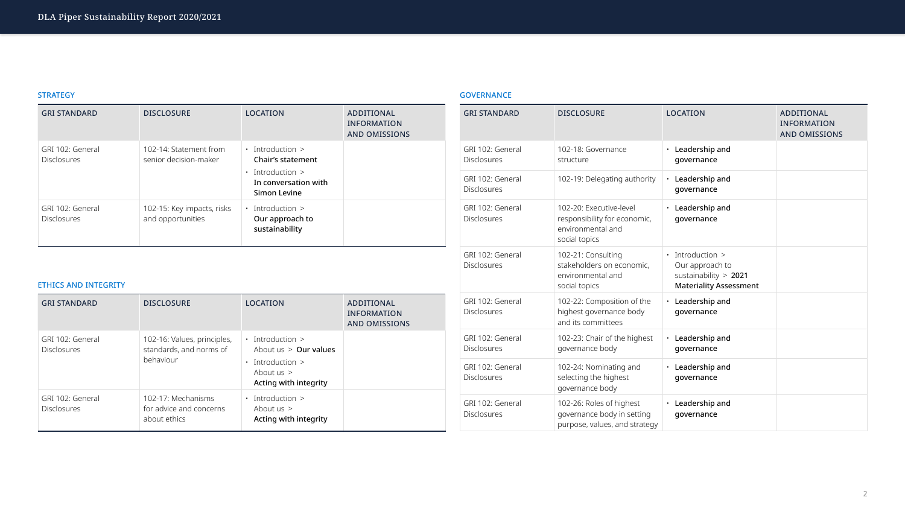| <b>GRI STANDARD</b>                    | <b>DISCLOSURE</b>                               | <b>LOCATION</b>                                                                                                           | ADDITIONAL<br><b>INFORMATION</b><br><b>AND OMISSIONS</b> |
|----------------------------------------|-------------------------------------------------|---------------------------------------------------------------------------------------------------------------------------|----------------------------------------------------------|
| GRI 102: General<br><b>Disclosures</b> | 102-14: Statement from<br>senior decision-maker | $\cdot$ Introduction $\ge$<br><b>Chair's statement</b><br>Introduction $>$<br>In conversation with<br><b>Simon Levine</b> |                                                          |
| GRI 102: General<br><b>Disclosures</b> | 102-15: Key impacts, risks<br>and opportunities | Introduction $>$<br>$\bullet$<br>Our approach to<br>sustainability                                                        |                                                          |

# ETHICS AND INTEGRITY

| <b>GRI STANDARD</b>                    | <b>DISCLOSURE</b>                                                   | <b>LOCATION</b>                                                                                                                      | <b>ADDITIONAL</b><br><b>INFORMATION</b><br><b>AND OMISSIONS</b> |
|----------------------------------------|---------------------------------------------------------------------|--------------------------------------------------------------------------------------------------------------------------------------|-----------------------------------------------------------------|
| GRI 102: General<br><b>Disclosures</b> | 102-16: Values, principles,<br>standards, and norms of<br>behaviour | $\cdot$ Introduction $\ge$<br>About $us > 0$ ur values<br>$\cdot$ Introduction $\ge$<br>About us $>$<br><b>Acting with integrity</b> |                                                                 |
| GRI 102: General<br><b>Disclosures</b> | 102-17: Mechanisms<br>for advice and concerns<br>about ethics       | $\cdot$ Introduction $\ge$<br>About us $>$<br>Acting with integrity                                                                  |                                                                 |

# GOVERNANCE

| <b>GRI STANDARD</b>                    | <b>DISCLOSURE</b>                                                                             | <b>LOCATION</b>                                                                                           | ADDITIONAL<br><b>INFORMATION</b><br><b>AND OMISSIONS</b> |
|----------------------------------------|-----------------------------------------------------------------------------------------------|-----------------------------------------------------------------------------------------------------------|----------------------------------------------------------|
| GRI 102: General<br><b>Disclosures</b> | 102-18: Governance<br>structure                                                               | Leadership and<br>$\bullet$<br>governance                                                                 |                                                          |
| GRI 102: General<br><b>Disclosures</b> | 102-19: Delegating authority                                                                  | Leadership and<br>$\bullet$<br>governance                                                                 |                                                          |
| GRI 102: General<br><b>Disclosures</b> | 102-20: Executive-level<br>responsibility for economic,<br>environmental and<br>social topics | Leadership and<br>$\bullet$<br>governance                                                                 |                                                          |
| GRI 102: General<br><b>Disclosures</b> | 102-21: Consulting<br>stakeholders on economic,<br>environmental and<br>social topics         | $\cdot$ Introduction $\ge$<br>Our approach to<br>sustainability $> 2021$<br><b>Materiality Assessment</b> |                                                          |
| GRI 102: General<br><b>Disclosures</b> | 102-22: Composition of the<br>highest governance body<br>and its committees                   | $\cdot$ Leadership and<br>qovernance                                                                      |                                                          |
| GRI 102: General<br><b>Disclosures</b> | 102-23: Chair of the highest<br>governance body                                               | $\cdot$ Leadership and<br>governance                                                                      |                                                          |
| GRI 102: General<br><b>Disclosures</b> | 102-24: Nominating and<br>selecting the highest<br>governance body                            | $\cdot$ Leadership and<br>governance                                                                      |                                                          |
| GRI 102: General<br><b>Disclosures</b> | 102-26: Roles of highest<br>governance body in setting<br>purpose, values, and strategy       | Leadership and<br>$\bullet$<br>governance                                                                 |                                                          |



# **STRATEGY**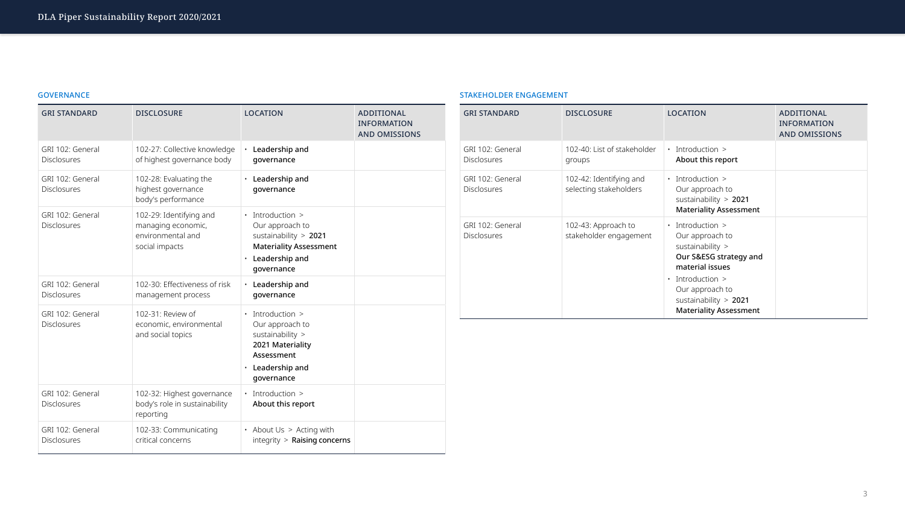# GOVERNANCE

| <b>GRI STANDARD</b>                    | <b>DISCLOSURE</b>                                                                    | <b>LOCATION</b>                                                                                                                                    | <b>ADDITIONAL</b><br><b>INFORMATION</b><br><b>AND OMISSIONS</b> |
|----------------------------------------|--------------------------------------------------------------------------------------|----------------------------------------------------------------------------------------------------------------------------------------------------|-----------------------------------------------------------------|
| GRI 102: General<br><b>Disclosures</b> | 102-27: Collective knowledge<br>of highest governance body                           | Leadership and<br>$\bullet$<br>governance                                                                                                          |                                                                 |
| GRI 102: General<br><b>Disclosures</b> | 102-28: Evaluating the<br>highest governance<br>body's performance                   | Leadership and<br>$\bullet$<br>governance                                                                                                          |                                                                 |
| GRI 102: General<br><b>Disclosures</b> | 102-29: Identifying and<br>managing economic,<br>environmental and<br>social impacts | • Introduction ><br>Our approach to<br>sustainability $> 2021$<br><b>Materiality Assessment</b><br>Leadership and<br>$\bullet$<br>governance       |                                                                 |
| GRI 102: General<br><b>Disclosures</b> | 102-30: Effectiveness of risk<br>management process                                  | $\cdot$ Leadership and<br>governance                                                                                                               |                                                                 |
| GRI 102: General<br><b>Disclosures</b> | 102-31: Review of<br>economic, environmental<br>and social topics                    | $\cdot$ Introduction $\ge$<br>Our approach to<br>sustainability $>$<br>2021 Materiality<br>Assessment<br>Leadership and<br>$\bullet$<br>governance |                                                                 |
| GRI 102: General<br><b>Disclosures</b> | 102-32: Highest governance<br>body's role in sustainability<br>reporting             | $\cdot$ Introduction $\ge$<br>About this report                                                                                                    |                                                                 |
| GRI 102: General<br><b>Disclosures</b> | 102-33: Communicating<br>critical concerns                                           | • About Us $>$ Acting with<br>$integrity$ > Raising concerns                                                                                       |                                                                 |

# STAKEHOLDER ENGAGEMENT

| <b>GRI STANDARD</b>                    | <b>DISCLOSURE</b>                                 | <b>LOCATION</b>                                                                                                                                                                                                              | <b>ADDITIONAL</b><br><b>INFORMATION</b><br><b>AND OMISSIONS</b> |
|----------------------------------------|---------------------------------------------------|------------------------------------------------------------------------------------------------------------------------------------------------------------------------------------------------------------------------------|-----------------------------------------------------------------|
| GRI 102: General<br><b>Disclosures</b> | 102-40: List of stakeholder<br>groups             | Introduction $>$<br>$\bullet$<br>About this report                                                                                                                                                                           |                                                                 |
| GRI 102: General<br><b>Disclosures</b> | 102-42: Identifying and<br>selecting stakeholders | $\cdot$ Introduction $\ge$<br>Our approach to<br>sustainability $> 2021$<br><b>Materiality Assessment</b>                                                                                                                    |                                                                 |
| GRI 102: General<br><b>Disclosures</b> | 102-43: Approach to<br>stakeholder engagement     | $\cdot$ Introduction $\ge$<br>Our approach to<br>sustainability ><br>Our S&ESG strategy and<br>material issues<br>Introduction ><br>$\bullet$<br>Our approach to<br>sustainability $> 2021$<br><b>Materiality Assessment</b> |                                                                 |

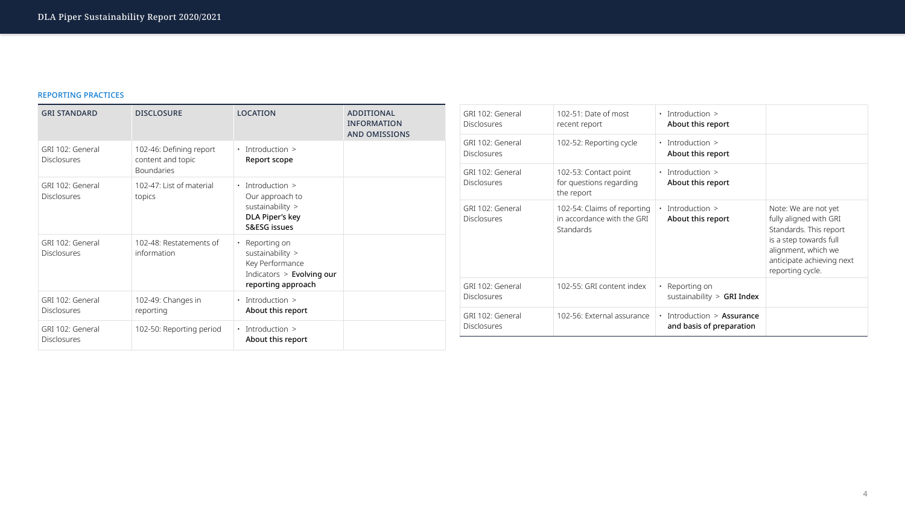# REPORTING PRACTICES

| <b>GRI STANDARD</b>                    | <b>DISCLOSURE</b>                                                 | <b>LOCATION</b>                                                                                                     | <b>ADDITIONAL</b><br><b>INFORMATION</b><br><b>AND OMISSIONS</b> |
|----------------------------------------|-------------------------------------------------------------------|---------------------------------------------------------------------------------------------------------------------|-----------------------------------------------------------------|
| GRI 102: General<br><b>Disclosures</b> | 102-46: Defining report<br>content and topic<br><b>Boundaries</b> | $\cdot$ Introduction $\ge$<br><b>Report scope</b>                                                                   |                                                                 |
| GRI 102: General<br><b>Disclosures</b> | 102-47: List of material<br>topics                                | Introduction ><br>$\bullet$<br>Our approach to<br>sustainability ><br>DLA Piper's key<br><b>S&amp;ESG issues</b>    |                                                                 |
| GRI 102: General<br><b>Disclosures</b> | 102-48: Restatements of<br>information                            | Reporting on<br>$\bullet$<br>sustainability ><br>Key Performance<br>Indicators > Evolving our<br>reporting approach |                                                                 |
| GRI 102: General<br><b>Disclosures</b> | 102-49: Changes in<br>reporting                                   | Introduction ><br>$\bullet$<br>About this report                                                                    |                                                                 |
| GRI 102: General<br><b>Disclosures</b> | 102-50: Reporting period                                          | $\cdot$ Introduction $\ge$<br>About this report                                                                     |                                                                 |

| GRI 102: General                       | 102-51: Date of most                                                   | $\cdot$ Introduction $\ge$                             |                                                                                                                                                                          |
|----------------------------------------|------------------------------------------------------------------------|--------------------------------------------------------|--------------------------------------------------------------------------------------------------------------------------------------------------------------------------|
| <b>Disclosures</b>                     | recent report                                                          | About this report                                      |                                                                                                                                                                          |
| GRI 102: General<br><b>Disclosures</b> | 102-52: Reporting cycle                                                | $\cdot$ Introduction $\ge$<br>About this report        |                                                                                                                                                                          |
| GRI 102: General<br><b>Disclosures</b> | 102-53: Contact point<br>for questions regarding<br>the report         | $\cdot$ Introduction $\ge$<br>About this report        |                                                                                                                                                                          |
| GRI 102: General<br><b>Disclosures</b> | 102-54: Claims of reporting<br>in accordance with the GRI<br>Standards | Introduction ><br>About this report                    | Note: We are not yet<br>fully aligned with GRI<br>Standards. This report<br>is a step towards full<br>alignment, which we<br>anticipate achieving ne<br>reporting cycle. |
| GRI 102: General<br><b>Disclosures</b> | 102-55: GRI content index                                              | • Reporting on<br>sustainability $>$ GRI Index         |                                                                                                                                                                          |
| GRI 102: General<br><b>Disclosures</b> | 102-56: External assurance                                             | • Introduction > Assurance<br>and basis of preparation |                                                                                                                                                                          |

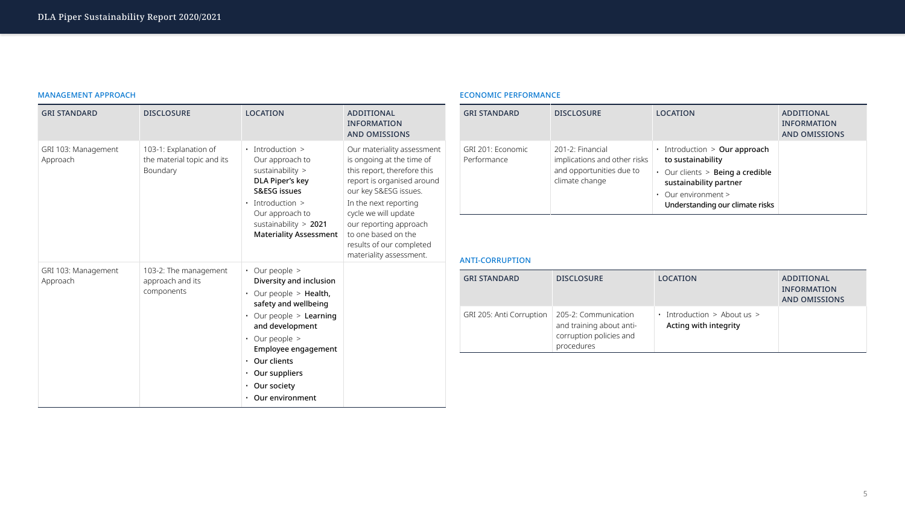# MANAGEMENT APPROACH

| <b>GRI STANDARD</b>             | <b>DISCLOSURE</b>                                               | <b>LOCATION</b>                                                                                                                                                           | ADDITIONAL<br><b>INFORMATION</b><br><b>AND OMISSIONS</b>                                                                                                                                       | <b>GRI STANDARD</b>                             | <b>DISCLOSURE</b>                                                                              | <b>LOCATION</b>                                                                                                                                                                        | ADDITIONAL<br><b>INFORMATION</b><br><b>AND OMISSIONS</b>        |
|---------------------------------|-----------------------------------------------------------------|---------------------------------------------------------------------------------------------------------------------------------------------------------------------------|------------------------------------------------------------------------------------------------------------------------------------------------------------------------------------------------|-------------------------------------------------|------------------------------------------------------------------------------------------------|----------------------------------------------------------------------------------------------------------------------------------------------------------------------------------------|-----------------------------------------------------------------|
| GRI 103: Management<br>Approach | 103-1: Explanation of<br>the material topic and its<br>Boundary | $\cdot$ Introduction $\ge$<br>Our approach to<br>sustainability $>$<br>DLA Piper's key<br><b>S&amp;ESG issues</b><br>$\cdot$ Introduction $>$<br>Our approach to          | Our materiality assessment<br>is ongoing at the time of<br>this report, therefore this<br>report is organised around<br>our key S&ESG issues.<br>In the next reporting<br>cycle we will update | GRI 201: Economic<br>Performance                | 201-2: Financial<br>implications and other risks<br>and opportunities due to<br>climate change | $\cdot$ Introduction $>$ Our approach<br>to sustainability<br>Our clients > Being a credible<br>sustainability partner<br>$\cdot$ Our environment ><br>Understanding our climate risks |                                                                 |
|                                 |                                                                 | sustainability $> 2021$<br><b>Materiality Assessment</b>                                                                                                                  | our reporting approach<br>to one based on the<br>results of our completed<br>materiality assessment.                                                                                           | <b>ANTI-CORRUPTION</b>                          |                                                                                                |                                                                                                                                                                                        |                                                                 |
| GRI 103: Management<br>Approach | 103-2: The management<br>approach and its<br>components         | $\cdot$ Our people $\ge$<br>Diversity and inclusion<br>$\cdot$ Our people > Health,<br>safety and wellbeing                                                               |                                                                                                                                                                                                | <b>GRI STANDARD</b>                             | <b>DISCLOSURE</b>                                                                              | <b>LOCATION</b>                                                                                                                                                                        | <b>ADDITIONAL</b><br><b>INFORMATION</b><br><b>AND OMISSIONS</b> |
|                                 |                                                                 | Our people > Learning<br>and development<br>• Our people $>$<br>Employee engagement<br>• Our clients<br>$\cdot$ Our suppliers<br>• Our society<br>$\cdot$ Our environment |                                                                                                                                                                                                | GRI 205: Anti Corruption   205-2: Communication | and training about anti-<br>corruption policies and<br>procedures                              | • Introduction $>$ About us $>$<br>Acting with integrity                                                                                                                               |                                                                 |

# ECONOMIC PERFORMANCE

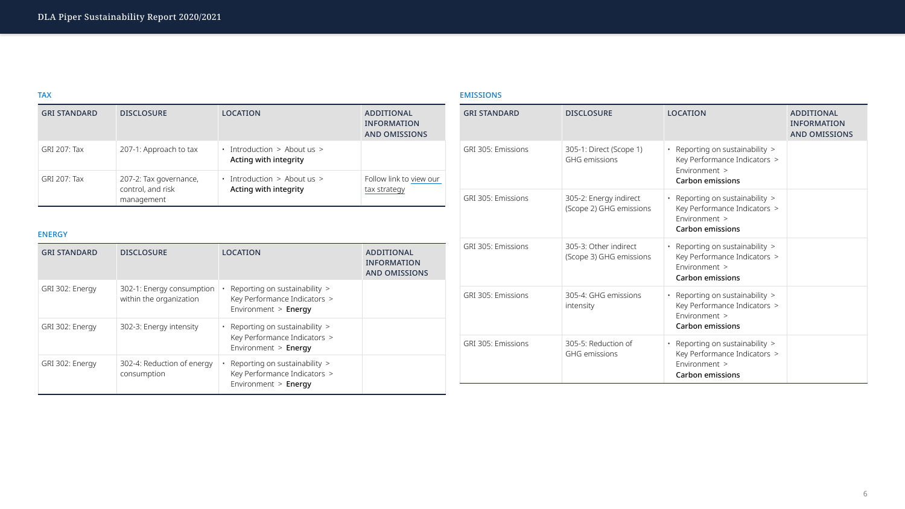| <b>GRI STANDARD</b> | <b>DISCLOSURE</b>                                    | <b>LOCATION</b>                                                                         | ADDITIONAL<br><b>INFORMATION</b><br><b>AND OMISSIONS</b>        | <b>GRI STANDARD</b>                              | <b>DISCLOSURE</b>                                 | <b>LOCATION</b>                                                                                               | ADDITIONAL<br><b>INFORMATION</b><br><b>AND OMISSION</b> |
|---------------------|------------------------------------------------------|-----------------------------------------------------------------------------------------|-----------------------------------------------------------------|--------------------------------------------------|---------------------------------------------------|---------------------------------------------------------------------------------------------------------------|---------------------------------------------------------|
| <b>GRI 207: Tax</b> | 207-1: Approach to tax                               | $\cdot$ Introduction > About us ><br>Acting with integrity                              |                                                                 | GRI 305: Emissions                               | 305-1: Direct (Scope 1)<br><b>GHG</b> emissions   | • Reporting on sustainability $>$<br>Key Performance Indicators >                                             |                                                         |
| <b>GRI 207: Tax</b> | 207-2: Tax governance,<br>control, and risk          | $\cdot$ Introduction > About us >                                                       | Follow link to view our                                         |                                                  |                                                   | Environment ><br><b>Carbon emissions</b>                                                                      |                                                         |
| <b>ENERGY</b>       | management                                           | Acting with integrity                                                                   | tax strategy                                                    | GRI 305: Emissions                               | 305-2: Energy indirect<br>(Scope 2) GHG emissions | • Reporting on sustainability $>$<br>Key Performance Indicators ><br>Environment ><br><b>Carbon emissions</b> |                                                         |
| <b>GRI STANDARD</b> | <b>DISCLOSURE</b>                                    | <b>LOCATION</b>                                                                         | <b>ADDITIONAL</b><br><b>INFORMATION</b><br><b>AND OMISSIONS</b> | <b>GRI 305: Emissions</b>                        | 305-3: Other indirect<br>(Scope 3) GHG emissions  | • Reporting on sustainability ><br>Key Performance Indicators ><br>Environment ><br><b>Carbon emissions</b>   |                                                         |
| GRI 302: Energy     | 302-1: Energy consumption<br>within the organization | Reporting on sustainability ><br>Key Performance Indicators ><br>Environment > Energy   |                                                                 | GRI 305: Emissions                               | 305-4: GHG emissions<br>intensity                 | • Reporting on sustainability ><br>Key Performance Indicators ><br>Environment >                              |                                                         |
| GRI 302: Energy     | 302-3: Energy intensity                              | • Reporting on sustainability $>$                                                       |                                                                 |                                                  |                                                   | <b>Carbon emissions</b>                                                                                       |                                                         |
|                     |                                                      | Key Performance Indicators ><br>Environment > Energy                                    |                                                                 | <b>GRI 305: Emissions</b><br>305-5: Reduction of | • Reporting on sustainability $>$                 |                                                                                                               |                                                         |
| GRI 302: Energy     | 302-4: Reduction of energy<br>consumption            | Reporting on sustainability $>$<br>Key Performance Indicators ><br>Environment > Energy |                                                                 |                                                  | GHG emissions                                     | Key Performance Indicators ><br>Environment ><br><b>Carbon emissions</b>                                      |                                                         |

# EMISSIONS



| <b>GRI STANDARD</b> | <b>DISCLOSURE</b>                                    | <b>LOCATION</b>                                                                         | ADDITIONAL<br><b>INFORMATION</b><br><b>AND OMISSIONS</b>        | <b>GRI STANDARD</b>       | <b>DISCLOSURE</b>                                | <b>LOCATION</b>                                                                                                 | ADDITIONAL<br><b>INFORMATION</b><br><b>AND OMISSIONS</b> |
|---------------------|------------------------------------------------------|-----------------------------------------------------------------------------------------|-----------------------------------------------------------------|---------------------------|--------------------------------------------------|-----------------------------------------------------------------------------------------------------------------|----------------------------------------------------------|
| <b>GRI 207: Tax</b> | 207-1: Approach to tax                               | $\cdot$ Introduction > About us ><br>Acting with integrity                              |                                                                 | <b>GRI 305: Emissions</b> | 305-1: Direct (Scope 1)<br><b>GHG emissions</b>  | • Reporting on sustainability ><br>Key Performance Indicators >                                                 |                                                          |
| <b>GRI 207: Tax</b> | 207-2: Tax governance,<br>control, and risk          | $\cdot$ Introduction > About us >                                                       | Follow link to view our                                         |                           |                                                  | Environment $>$<br><b>Carbon emissions</b>                                                                      |                                                          |
|                     | management                                           | Acting with integrity                                                                   | tax strategy                                                    | <b>GRI 305: Emissions</b> | 305-2: Energy indirect                           | • Reporting on sustainability $>$                                                                               |                                                          |
| <b>ENERGY</b>       |                                                      |                                                                                         |                                                                 |                           | (Scope 2) GHG emissions                          | Key Performance Indicators ><br>Environment $>$<br><b>Carbon emissions</b>                                      |                                                          |
| <b>GRI STANDARD</b> | <b>DISCLOSURE</b>                                    | <b>LOCATION</b>                                                                         | <b>ADDITIONAL</b><br><b>INFORMATION</b><br><b>AND OMISSIONS</b> | <b>GRI 305: Emissions</b> | 305-3: Other indirect<br>(Scope 3) GHG emissions | • Reporting on sustainability $>$<br>Key Performance Indicators ><br>Environment $>$<br><b>Carbon emissions</b> |                                                          |
| GRI 302: Energy     | 302-1: Energy consumption<br>within the organization | Reporting on sustainability ><br>Key Performance Indicators ><br>Environment $>$ Energy |                                                                 | <b>GRI 305: Emissions</b> | 305-4: GHG emissions<br>intensity                | • Reporting on sustainability $>$<br>Key Performance Indicators ><br>Environment >                              |                                                          |
| GRI 302: Energy     | 302-3: Energy intensity                              | • Reporting on sustainability $>$                                                       |                                                                 |                           |                                                  | <b>Carbon emissions</b>                                                                                         |                                                          |
|                     |                                                      | Key Performance Indicators ><br>Environment $>$ Energy                                  |                                                                 | <b>GRI 305: Emissions</b> | 305-5: Reduction of                              | • Reporting on sustainability $>$                                                                               |                                                          |
| GRI 302: Energy     | 302-4: Reduction of energy<br>consumption            | Reporting on sustainability ><br>Key Performance Indicators ><br>Fnvironment > Fnerav   |                                                                 |                           | <b>GHG</b> emissions                             | Key Performance Indicators ><br>Environment ><br><b>Carbon emissions</b>                                        |                                                          |

# **TAX**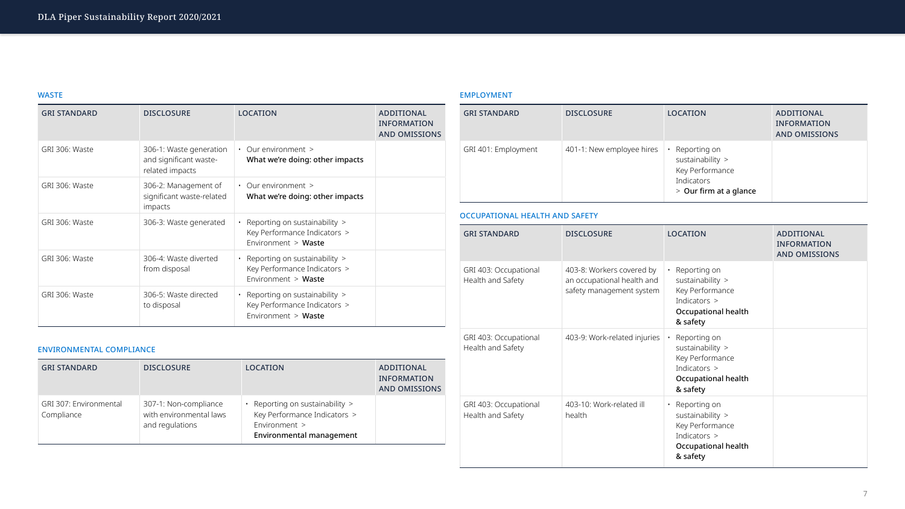# WASTE

| <b>GRI STANDARD</b> | <b>DISCLOSURE</b>                                                    | <b>LOCATION</b>                                                                          | ADDITIONAL<br><b>INFORMATION</b><br>AND OMISSIONS | <b>GRI STANDARD</b>                        | <b>DISCLOSURE</b>                                                                   | <b>LOCATION</b>                                                                                                   | <b>ADDITIONAL</b><br><b>INFORMATION</b><br><b>AND OMISSIONS</b> |
|---------------------|----------------------------------------------------------------------|------------------------------------------------------------------------------------------|---------------------------------------------------|--------------------------------------------|-------------------------------------------------------------------------------------|-------------------------------------------------------------------------------------------------------------------|-----------------------------------------------------------------|
| GRI 306: Waste      | 306-1: Waste generation<br>and significant waste-<br>related impacts | Our environment ><br>What we're doing: other impacts                                     |                                                   | GRI 401: Employment                        | 401-1: New employee hires                                                           | Reporting on<br>sustainability $>$<br>Key Performance                                                             |                                                                 |
| GRI 306: Waste      | 306-2: Management of<br>significant waste-related<br>impacts         | $\cdot$ Our environment $\ge$<br>What we're doing: other impacts                         |                                                   |                                            |                                                                                     | Indicators<br>> Our firm at a glance                                                                              |                                                                 |
| GRI 306: Waste      | 306-3: Waste generated                                               | Reporting on sustainability $>$                                                          |                                                   | OCCUPATIONAL HEALTH AND SAFETY             |                                                                                     |                                                                                                                   |                                                                 |
|                     |                                                                      | Key Performance Indicators ><br>Environment > Waste                                      |                                                   | <b>GRI STANDARD</b>                        | <b>DISCLOSURE</b>                                                                   | <b>LOCATION</b>                                                                                                   | ADDITIONAL<br><b>INFORMATION</b>                                |
| GRI 306: Waste      | 306-4: Waste diverted                                                | • Reporting on sustainability $>$                                                        |                                                   |                                            |                                                                                     |                                                                                                                   | <b>AND OMISSIONS</b>                                            |
|                     | from disposal                                                        | Key Performance Indicators ><br>Environment > Waste                                      |                                                   | GRI 403: Occupational<br>Health and Safety | 403-8: Workers covered by<br>an occupational health and<br>safety management system | Reporting on<br>sustainability $>$<br>Key Performance<br>Indicators $>$<br><b>Occupational health</b><br>& safety |                                                                 |
| GRI 306: Waste      | 306-5: Waste directed<br>to disposal                                 | • Reporting on sustainability $>$<br>Key Performance Indicators ><br>Environment > Waste |                                                   |                                            |                                                                                     |                                                                                                                   |                                                                 |

# EMPLOYMENT



| GRI 306: Waste                              | soo s. waste gericiated<br>306-4: Waste diverted                    | reporting on sastan labinty<br>Key Performance Indicators ><br>Environment > Waste                                    |                                                          | <b>GRI STANDARD</b>                        | <b>DISCLOSURE</b>                                                                   | <b>LOCATION</b>                                                                                                     | <b>ADDITIONAL</b><br><b>INFORMATION</b><br><b>AND OMISSIONS</b> |
|---------------------------------------------|---------------------------------------------------------------------|-----------------------------------------------------------------------------------------------------------------------|----------------------------------------------------------|--------------------------------------------|-------------------------------------------------------------------------------------|---------------------------------------------------------------------------------------------------------------------|-----------------------------------------------------------------|
|                                             | from disposal                                                       | • Reporting on sustainability $>$<br>Key Performance Indicators ><br>Environment > Waste                              |                                                          | GRI 403: Occupational<br>Health and Safety | 403-8: Workers covered by<br>an occupational health and<br>safety management system | Reporting on<br>sustainability $>$<br>Key Performance<br>Indicators $>$<br><b>Occupational health</b><br>& safety   |                                                                 |
| GRI 306: Waste                              | 306-5: Waste directed<br>to disposal                                | • Reporting on sustainability $>$<br>Key Performance Indicators ><br>Environment > Waste                              |                                                          |                                            |                                                                                     |                                                                                                                     |                                                                 |
| <b>ENVIRONMENTAL COMPLIANCE</b>             |                                                                     |                                                                                                                       |                                                          | GRI 403: Occupational<br>Health and Safety | 403-9: Work-related injuries                                                        | Reporting on<br>sustainability $>$<br>Key Performance                                                               |                                                                 |
| <b>GRI STANDARD</b>                         | <b>DISCLOSURE</b>                                                   | <b>LOCATION</b>                                                                                                       | <b>ADDITIONAL</b><br><b>INFORMATION</b><br>AND OMISSIONS |                                            |                                                                                     | Indicators ><br>Occupational health<br>& safety                                                                     |                                                                 |
| <b>GRI 307: Environmental</b><br>Compliance | 307-1: Non-compliance<br>with environmental laws<br>and regulations | • Reporting on sustainability $>$<br>Key Performance Indicators ><br>Environment ><br><b>Environmental management</b> |                                                          | GRI 403: Occupational<br>Health and Safety | 403-10: Work-related ill<br>health                                                  | • Reporting on<br>sustainability $>$<br>Key Performance<br>Indicators $>$<br><b>Occupational health</b><br>& safety |                                                                 |